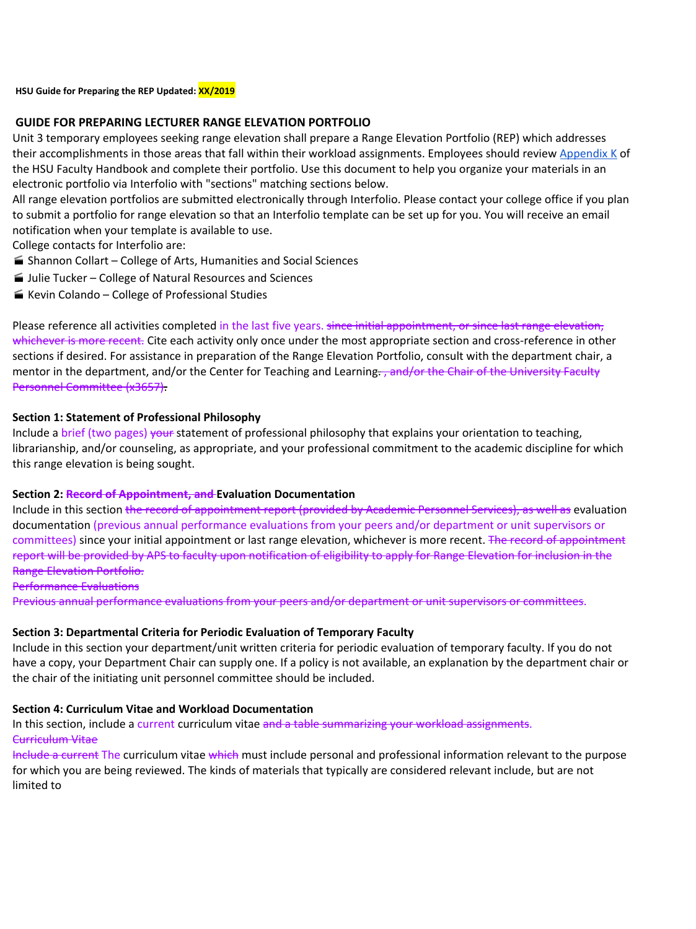#### **HSU Guide for Preparing the REP Updated: XX/2019**

### **GUIDE FOR PREPARING LECTURER RANGE ELEVATION PORTFOLIO**

Unit 3 temporary employees seeking range elevation shall prepare a Range Elevation Portfolio (REP) which addresses their accomplishments in those areas that fall within their workload assignments. Employees should review [Appendix](https://aavp.humboldt.edu/sites/default/files/aavp/facultyhandbook/AppendixK.pdf) K of the HSU Faculty Handbook and complete their portfolio. Use this document to help you organize your materials in an electronic portfolio via Interfolio with "sections" matching sections below.

All range elevation portfolios are submitted electronically through Interfolio. Please contact your college office if you plan to submit a portfolio for range elevation so that an Interfolio template can be set up for you. You will receive an email notification when your template is available to use.

College contacts for Interfolio are:

- Shannon Collart College of Arts, Humanities and Social Sciences
- Julie Tucker College of Natural Resources and Sciences
- Kevin Colando College of Professional Studies

Please reference all activities completed in the last five years. since initial appointment, or since last range elevation, whichever is more recent. Cite each activity only once under the most appropriate section and cross-reference in other sections if desired. For assistance in preparation of the Range Elevation Portfolio, consult with the department chair, a mentor in the department, and/or the Center for Teaching and Learning. , and/or the Chair of the University Faculty Personnel Committee (x3657).

# **Section 1: Statement of Professional Philosophy**

Include a brief (two pages) your statement of professional philosophy that explains your orientation to teaching, librarianship, and/or counseling, as appropriate, and your professional commitment to the academic discipline for which this range elevation is being sought.

# **Section 2: Record of Appointment, and Evaluation Documentation**

Include in this section the record of appointment report (provided by Academic Personnel Services), as well as evaluation documentation (previous annual performance evaluations from your peers and/or department or unit supervisors or committees) since your initial appointment or last range elevation, whichever is more recent. The record of appointment report will be provided by APS to faculty upon notification of eligibility to apply for Range Elevation for inclusion in the Range Elevation Portfolio.

### Performance Evaluations

Previous annual performance evaluations from your peers and/or department or unit supervisors or committees.

# **Section 3: Departmental Criteria for Periodic Evaluation of Temporary Faculty**

Include in this section your department/unit written criteria for periodic evaluation of temporary faculty. If you do not have a copy, your Department Chair can supply one. If a policy is not available, an explanation by the department chair or the chair of the initiating unit personnel committee should be included.

### **Section 4: Curriculum Vitae and Workload Documentation**

In this section, include a current curriculum vitae and a table summarizing your workload assignments. Curriculum Vitae

Include a current The curriculum vitae which must include personal and professional information relevant to the purpose for which you are being reviewed. The kinds of materials that typically are considered relevant include, but are not limited to